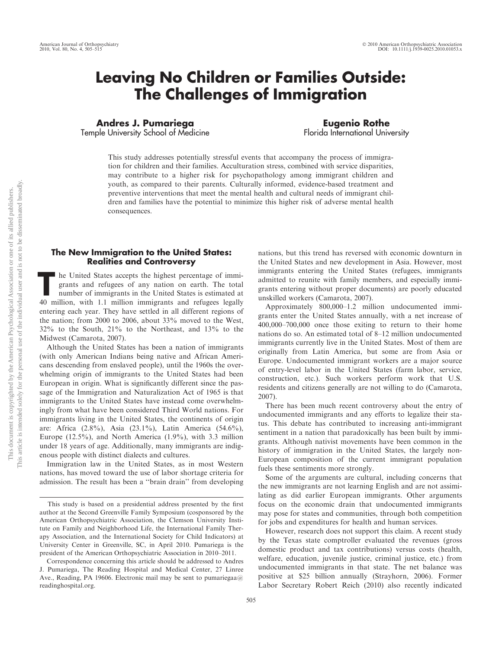# Leaving No Children or Families Outside: The Challenges of Immigration

Andres J. Pumariega Temple University School of Medicine

Eugenio Rothe Florida International University

This study addresses potentially stressful events that accompany the process of immigration for children and their families. Acculturation stress, combined with service disparities, may contribute to a higher risk for psychopathology among immigrant children and youth, as compared to their parents. Culturally informed, evidence-based treatment and preventive interventions that meet the mental health and cultural needs of immigrant children and families have the potential to minimize this higher risk of adverse mental health consequences.

## The New Immigration to the United States: Realities and Controversy

In he United States accepts the highest percentage of immigrants and refugees of any nation on earth. The total number of immigrants in the United States is estimated at 40 million, with 1.1 million immigrants and refugees legally entering each year. They have settled in all different regions of the nation; from 2000 to 2006, about 33% moved to the West, 32% to the South, 21% to the Northeast, and 13% to the Midwest (Camarota, 2007).

Although the United States has been a nation of immigrants (with only American Indians being native and African Americans descending from enslaved people), until the 1960s the overwhelming origin of immigrants to the United States had been European in origin. What is significantly different since the passage of the Immigration and Naturalization Act of 1965 is that immigrants to the United States have instead come overwhelmingly from what have been considered Third World nations. For immigrants living in the United States, the continents of origin are: Africa (2.8%), Asia (23.1%), Latin America (54.6%), Europe (12.5%), and North America (1.9%), with 3.3 million under 18 years of age. Additionally, many immigrants are indigenous people with distinct dialects and cultures.

Immigration law in the United States, as in most Western nations, has moved toward the use of labor shortage criteria for admission. The result has been a ''brain drain'' from developing nations, but this trend has reversed with economic downturn in the United States and new development in Asia. However, most immigrants entering the United States (refugees, immigrants admitted to reunite with family members, and especially immigrants entering without proper documents) are poorly educated unskilled workers (Camarota, 2007).

Approximately 800,000–1.2 million undocumented immigrants enter the United States annually, with a net increase of 400,000–700,000 once those exiting to return to their home nations do so. An estimated total of 8–12 million undocumented immigrants currently live in the United States. Most of them are originally from Latin America, but some are from Asia or Europe. Undocumented immigrant workers are a major source of entry-level labor in the United States (farm labor, service, construction, etc.). Such workers perform work that U.S. residents and citizens generally are not willing to do (Camarota, 2007).

There has been much recent controversy about the entry of undocumented immigrants and any efforts to legalize their status. This debate has contributed to increasing anti-immigrant sentiment in a nation that paradoxically has been built by immigrants. Although nativist movements have been common in the history of immigration in the United States, the largely non-European composition of the current immigrant population fuels these sentiments more strongly.

Some of the arguments are cultural, including concerns that the new immigrants are not learning English and are not assimilating as did earlier European immigrants. Other arguments focus on the economic drain that undocumented immigrants may pose for states and communities, through both competition for jobs and expenditures for health and human services.

However, research does not support this claim. A recent study by the Texas state comptroller evaluated the revenues (gross domestic product and tax contributions) versus costs (health, welfare, education, juvenile justice, criminal justice, etc.) from undocumented immigrants in that state. The net balance was positive at \$25 billion annually (Strayhorn, 2006). Former Labor Secretary Robert Reich (2010) also recently indicated

This study is based on a presidential address presented by the first author at the Second Greenville Family Symposium (cosponsored by the American Orthopsychiatric Association, the Clemson University Institute on Family and Neighborhood Life, the International Family Therapy Association, and the International Society for Child Indicators) at University Center in Greenville, SC, in April 2010. Pumariega is the president of the American Orthopsychiatric Association in 2010–2011.

Correspondence concerning this article should be addressed to Andres J. Pumariega, The Reading Hospital and Medical Center, 27 Linree Ave., Reading, PA 19606. Electronic mail may be sent to pumariegaa@ readinghospital.org.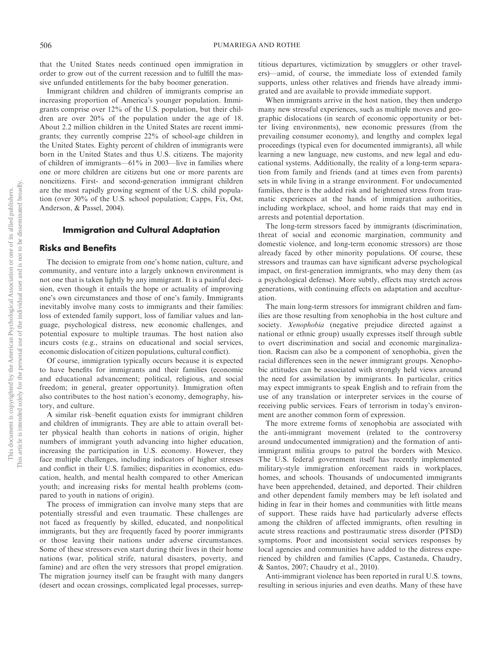that the United States needs continued open immigration in order to grow out of the current recession and to fulfill the massive unfunded entitlements for the baby boomer generation.

Immigrant children and children of immigrants comprise an increasing proportion of America's younger population. Immigrants comprise over 12% of the U.S. population, but their children are over 20% of the population under the age of 18. About 2.2 million children in the United States are recent immigrants; they currently comprise 22% of school-age children in the United States. Eighty percent of children of immigrants were born in the United States and thus U.S. citizens. The majority of children of immigrants—61% in 2003—live in families where one or more children are citizens but one or more parents are noncitizens. First- and second-generation immigrant children are the most rapidly growing segment of the U.S. child population (over 30% of the U.S. school population; Capps, Fix, Ost, Anderson, & Passel, 2004).

## Immigration and Cultural Adaptation

## Risks and Benefits

The decision to emigrate from one's home nation, culture, and community, and venture into a largely unknown environment is not one that is taken lightly by any immigrant. It is a painful decision, even though it entails the hope or actuality of improving one's own circumstances and those of one's family. Immigrants inevitably involve many costs to immigrants and their families: loss of extended family support, loss of familiar values and language, psychological distress, new economic challenges, and potential exposure to multiple traumas. The host nation also incurs costs (e.g., strains on educational and social services, economic dislocation of citizen populations, cultural conflict).

Of course, immigration typically occurs because it is expected to have benefits for immigrants and their families (economic and educational advancement; political, religious, and social freedom; in general, greater opportunity). Immigration often also contributes to the host nation's economy, demography, history, and culture.

A similar risk–benefit equation exists for immigrant children and children of immigrants. They are able to attain overall better physical health than cohorts in nations of origin, higher numbers of immigrant youth advancing into higher education, increasing the participation in U.S. economy. However, they face multiple challenges, including indicators of higher stresses and conflict in their U.S. families; disparities in economics, education, health, and mental health compared to other American youth; and increasing risks for mental health problems (compared to youth in nations of origin).

The process of immigration can involve many steps that are potentially stressful and even traumatic. These challenges are not faced as frequently by skilled, educated, and nonpolitical immigrants, but they are frequently faced by poorer immigrants or those leaving their nations under adverse circumstances. Some of these stressors even start during their lives in their home nations (war, political strife, natural disasters, poverty, and famine) and are often the very stressors that propel emigration. The migration journey itself can be fraught with many dangers (desert and ocean crossings, complicated legal processes, surreptitious departures, victimization by smugglers or other travelers)—amid, of course, the immediate loss of extended family supports, unless other relatives and friends have already immigrated and are available to provide immediate support.

When immigrants arrive in the host nation, they then undergo many new stressful experiences, such as multiple moves and geographic dislocations (in search of economic opportunity or better living environments), new economic pressures (from the prevailing consumer economy), and lengthy and complex legal proceedings (typical even for documented immigrants), all while learning a new language, new customs, and new legal and educational systems. Additionally, the reality of a long-term separation from family and friends (and at times even from parents) sets in while living in a strange environment. For undocumented families, there is the added risk and heightened stress from traumatic experiences at the hands of immigration authorities, including workplace, school, and home raids that may end in arrests and potential deportation.

The long-term stressors faced by immigrants (discrimination, threat of social and economic margination, community and domestic violence, and long-term economic stressors) are those already faced by other minority populations. Of course, these stressors and traumas can have significant adverse psychological impact, on first-generation immigrants, who may deny them (as a psychological defense). More subtly, effects may stretch across generations, with continuing effects on adaptation and acculturation.

The main long-term stressors for immigrant children and families are those resulting from xenophobia in the host culture and society. Xenophobia (negative prejudice directed against a national or ethnic group) usually expresses itself through subtle to overt discrimination and social and economic marginalization. Racism can also be a component of xenophobia, given the racial differences seen in the newer immigrant groups. Xenophobic attitudes can be associated with strongly held views around the need for assimilation by immigrants. In particular, critics may expect immigrants to speak English and to refrain from the use of any translation or interpreter services in the course of receiving public services. Fears of terrorism in today's environment are another common form of expression.

The more extreme forms of xenophobia are associated with the anti-immigrant movement (related to the controversy around undocumented immigration) and the formation of antiimmigrant militia groups to patrol the borders with Mexico. The U.S. federal government itself has recently implemented military-style immigration enforcement raids in workplaces, homes, and schools. Thousands of undocumented immigrants have been apprehended, detained, and deported. Their children and other dependent family members may be left isolated and hiding in fear in their homes and communities with little means of support. These raids have had particularly adverse effects among the children of affected immigrants, often resulting in acute stress reactions and posttraumatic stress disorder (PTSD) symptoms. Poor and inconsistent social services responses by local agencies and communities have added to the distress experienced by children and families (Capps, Castaneda, Chaudry, & Santos, 2007; Chaudry et al., 2010).

Anti-immigrant violence has been reported in rural U.S. towns, resulting in serious injuries and even deaths. Many of these have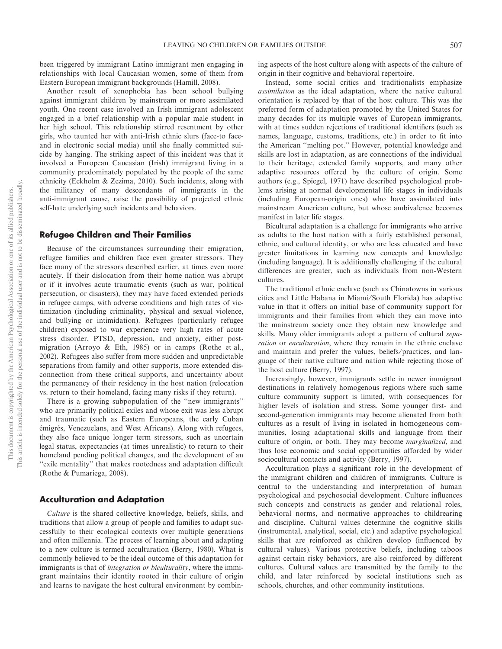been triggered by immigrant Latino immigrant men engaging in relationships with local Caucasian women, some of them from Eastern European immigrant backgrounds (Hamill, 2008).

Another result of xenophobia has been school bullying against immigrant children by mainstream or more assimilated youth. One recent case involved an Irish immigrant adolescent engaged in a brief relationship with a popular male student in her high school. This relationship stirred resentment by other girls, who taunted her with anti-Irish ethnic slurs (face-to faceand in electronic social media) until she finally committed suicide by hanging. The striking aspect of this incident was that it involved a European Caucasian (Irish) immigrant living in a community predominately populated by the people of the same ethnicity (Eckholm & Zezima, 2010). Such incidents, along with the militancy of many descendants of immigrants in the anti-immigrant cause, raise the possibility of projected ethnic self-hate underlying such incidents and behaviors.

## Refugee Children and Their Families

Because of the circumstances surrounding their emigration, refugee families and children face even greater stressors. They face many of the stressors described earlier, at times even more acutely. If their dislocation from their home nation was abrupt or if it involves acute traumatic events (such as war, political persecution, or disasters), they may have faced extended periods in refugee camps, with adverse conditions and high rates of victimization (including criminality, physical and sexual violence, and bullying or intimidation). Refugees (particularly refugee children) exposed to war experience very high rates of acute stress disorder, PTSD, depression, and anxiety, either postmigration (Arroyo & Eth, 1985) or in camps (Rothe et al., 2002). Refugees also suffer from more sudden and unpredictable separations from family and other supports, more extended disconnection from these critical supports, and uncertainty about the permanency of their residency in the host nation (relocation vs. return to their homeland, facing many risks if they return).

There is a growing subpopulation of the ''new immigrants'' who are primarily political exiles and whose exit was less abrupt and traumatic (such as Eastern Europeans, the early Cuban émigrés, Venezuelans, and West Africans). Along with refugees, they also face unique longer term stressors, such as uncertain legal status, expectancies (at times unrealistic) to return to their homeland pending political changes, and the development of an "exile mentality" that makes rootedness and adaptation difficult (Rothe & Pumariega, 2008).

## Acculturation and Adaptation

Culture is the shared collective knowledge, beliefs, skills, and traditions that allow a group of people and families to adapt successfully to their ecological contexts over multiple generations and often millennia. The process of learning about and adapting to a new culture is termed acculturation (Berry, 1980). What is commonly believed to be the ideal outcome of this adaptation for immigrants is that of *integration or biculturality*, where the immigrant maintains their identity rooted in their culture of origin and learns to navigate the host cultural environment by combining aspects of the host culture along with aspects of the culture of origin in their cognitive and behavioral repertoire.

Instead, some social critics and traditionalists emphasize assimilation as the ideal adaptation, where the native cultural orientation is replaced by that of the host culture. This was the preferred form of adaptation promoted by the United States for many decades for its multiple waves of European immigrants, with at times sudden rejections of traditional identifiers (such as names, language, customs, traditions, etc.) in order to fit into the American ''melting pot.'' However, potential knowledge and skills are lost in adaptation, as are connections of the individual to their heritage, extended family supports, and many other adaptive resources offered by the culture of origin. Some authors (e.g., Spiegel, 1971) have described psychological problems arising at normal developmental life stages in individuals (including European-origin ones) who have assimilated into mainstream American culture, but whose ambivalence becomes manifest in later life stages.

Bicultural adaptation is a challenge for immigrants who arrive as adults to the host nation with a fairly established personal, ethnic, and cultural identity, or who are less educated and have greater limitations in learning new concepts and knowledge (including language). It is additionally challenging if the cultural differences are greater, such as individuals from non-Western cultures.

The traditional ethnic enclave (such as Chinatowns in various cities and Little Habana in Miami/South Florida) has adaptive value in that it offers an initial base of community support for immigrants and their families from which they can move into the mainstream society once they obtain new knowledge and skills. Many older immigrants adopt a pattern of cultural separation or enculturation, where they remain in the ethnic enclave and maintain and prefer the values, beliefs⁄ practices, and language of their native culture and nation while rejecting those of the host culture (Berry, 1997).

Increasingly, however, immigrants settle in newer immigrant destinations in relatively homogenous regions where such same culture community support is limited, with consequences for higher levels of isolation and stress. Some younger first- and second-generation immigrants may become alienated from both cultures as a result of living in isolated in homogeneous communities, losing adaptational skills and language from their culture of origin, or both. They may become marginalized, and thus lose economic and social opportunities afforded by wider sociocultural contacts and activity (Berry, 1997).

Acculturation plays a significant role in the development of the immigrant children and children of immigrants. Culture is central to the understanding and interpretation of human psychological and psychosocial development. Culture influences such concepts and constructs as gender and relational roles, behavioral norms, and normative approaches to childrearing and discipline. Cultural values determine the cognitive skills (instrumental, analytical, social, etc.) and adaptive psychological skills that are reinforced as children develop (influenced by cultural values). Various protective beliefs, including taboos against certain risky behaviors, are also reinforced by different cultures. Cultural values are transmitted by the family to the child, and later reinforced by societal institutions such as schools, churches, and other community institutions.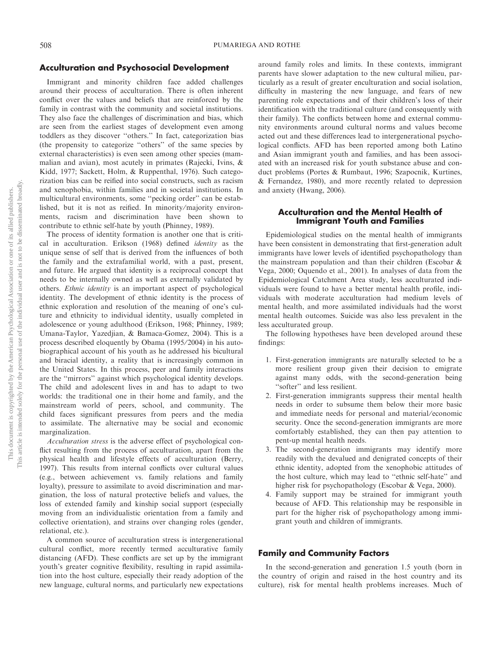#### Acculturation and Psychosocial Development

Immigrant and minority children face added challenges around their process of acculturation. There is often inherent conflict over the values and beliefs that are reinforced by the family in contrast with the community and societal institutions. They also face the challenges of discrimination and bias, which are seen from the earliest stages of development even among toddlers as they discover ''others.'' In fact, categorization bias (the propensity to categorize ''others'' of the same species by external characteristics) is even seen among other species (mammalian and avian), most acutely in primates (Rajecki, Ivins, & Kidd, 1977; Sackett, Holm, & Ruppenthal, 1976). Such categorization bias can be reified into social constructs, such as racism and xenophobia, within families and in societal institutions. In multicultural environments, some ''pecking order'' can be established, but it is not as reified. In minority/majority environments, racism and discrimination have been shown to contribute to ethnic self-hate by youth (Phinney, 1989).

The process of identity formation is another one that is critical in acculturation. Erikson (1968) defined identity as the unique sense of self that is derived from the influences of both the family and the extrafamilial world, with a past, present, and future. He argued that identity is a reciprocal concept that needs to be internally owned as well as externally validated by others. Ethnic identity is an important aspect of psychological identity. The development of ethnic identity is the process of ethnic exploration and resolution of the meaning of one's culture and ethnicity to individual identity, usually completed in adolescence or young adulthood (Erikson, 1968; Phinney, 1989; Umana-Taylor, Yazedjian, & Bamaca-Gomez, 2004). This is a process described eloquently by Obama (1995/2004) in his autobiographical account of his youth as he addressed his bicultural and biracial identity, a reality that is increasingly common in the United States. In this process, peer and family interactions are the ''mirrors'' against which psychological identity develops. The child and adolescent lives in and has to adapt to two worlds: the traditional one in their home and family, and the mainstream world of peers, school, and community. The child faces significant pressures from peers and the media to assimilate. The alternative may be social and economic marginalization.

Acculturation stress is the adverse effect of psychological conflict resulting from the process of acculturation, apart from the physical health and lifestyle effects of acculturation (Berry, 1997). This results from internal conflicts over cultural values (e.g., between achievement vs. family relations and family loyalty), pressure to assimilate to avoid discrimination and margination, the loss of natural protective beliefs and values, the loss of extended family and kinship social support (especially moving from an individualistic orientation from a family and collective orientation), and strains over changing roles (gender, relational, etc.).

A common source of acculturation stress is intergenerational cultural conflict, more recently termed acculturative family distancing (AFD). These conflicts are set up by the immigrant youth's greater cognitive flexibility, resulting in rapid assimilation into the host culture, especially their ready adoption of the new language, cultural norms, and particularly new expectations

around family roles and limits. In these contexts, immigrant parents have slower adaptation to the new cultural milieu, particularly as a result of greater enculturation and social isolation, difficulty in mastering the new language, and fears of new parenting role expectations and of their children's loss of their identification with the traditional culture (and consequently with their family). The conflicts between home and external community environments around cultural norms and values become acted out and these differences lead to intergenerational psychological conflicts. AFD has been reported among both Latino and Asian immigrant youth and families, and has been associated with an increased risk for youth substance abuse and conduct problems (Portes & Rumbaut, 1996; Szapocnik, Kurtines, & Fernandez, 1980), and more recently related to depression and anxiety (Hwang, 2006).

## Acculturation and the Mental Health of Immigrant Youth and Families

Epidemiological studies on the mental health of immigrants have been consistent in demonstrating that first-generation adult immigrants have lower levels of identified psychopathology than the mainstream population and than their children (Escobar & Vega, 2000; Oquendo et al., 2001). In analyses of data from the Epidemiological Catchment Area study, less acculturated individuals were found to have a better mental health profile, individuals with moderate acculturation had medium levels of mental health, and more assimilated individuals had the worst mental health outcomes. Suicide was also less prevalent in the less acculturated group.

The following hypotheses have been developed around these findings:

- 1. First-generation immigrants are naturally selected to be a more resilient group given their decision to emigrate against many odds, with the second-generation being ''softer'' and less resilient.
- 2. First-generation immigrants suppress their mental health needs in order to subsume them below their more basic and immediate needs for personal and material/economic security. Once the second-generation immigrants are more comfortably established, they can then pay attention to pent-up mental health needs.
- 3. The second-generation immigrants may identify more readily with the devalued and denigrated concepts of their ethnic identity, adopted from the xenophobic attitudes of the host culture, which may lead to ''ethnic self-hate'' and higher risk for psychopathology (Escobar & Vega, 2000).
- 4. Family support may be strained for immigrant youth because of AFD. This relationship may be responsible in part for the higher risk of psychopathology among immigrant youth and children of immigrants.

## Family and Community Factors

In the second-generation and generation 1.5 youth (born in the country of origin and raised in the host country and its culture), risk for mental health problems increases. Much of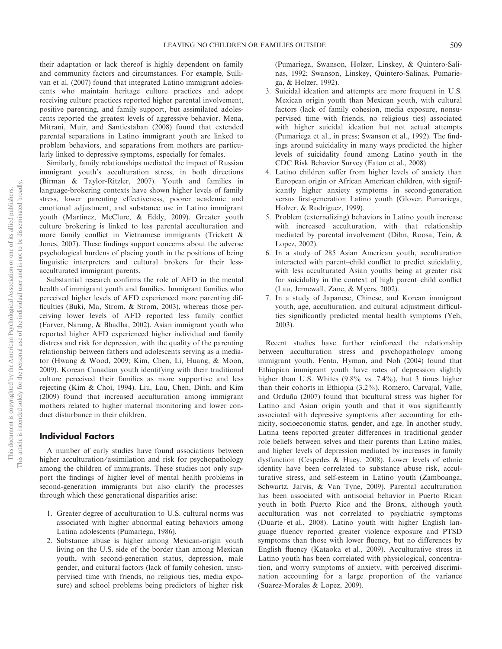their adaptation or lack thereof is highly dependent on family and community factors and circumstances. For example, Sullivan et al. (2007) found that integrated Latino immigrant adolescents who maintain heritage culture practices and adopt receiving culture practices reported higher parental involvement, positive parenting, and family support, but assimilated adolescents reported the greatest levels of aggressive behavior. Mena, Mitrani, Muir, and Santiestaban (2008) found that extended parental separations in Latino immigrant youth are linked to problem behaviors, and separations from mothers are particularly linked to depressive symptoms, especially for females.

Similarly, family relationships mediated the impact of Russian immigrant youth's acculturation stress, in both directions (Birman & Taylor-Ritzler, 2007). Youth and families in language-brokering contexts have shown higher levels of family stress, lower parenting effectiveness, poorer academic and emotional adjustment, and substance use in Latino immigrant youth (Martinez, McClure, & Eddy, 2009). Greater youth culture brokering is linked to less parental acculturation and more family conflict in Vietnamese immigrants (Trickett & Jones, 2007). These findings support concerns about the adverse psychological burdens of placing youth in the positions of being linguistic interpreters and cultural brokers for their lessacculturated immigrant parents.

Substantial research confirms the role of AFD in the mental health of immigrant youth and families. Immigrant families who perceived higher levels of AFD experienced more parenting difficulties (Buki, Ma, Strom, & Strom, 2003), whereas those perceiving lower levels of AFD reported less family conflict (Farver, Narang, & Bhadha, 2002). Asian immigrant youth who reported higher AFD experienced higher individual and family distress and risk for depression, with the quality of the parenting relationship between fathers and adolescents serving as a mediator (Hwang & Wood, 2009; Kim, Chen, Li, Huang, & Moon, 2009). Korean Canadian youth identifying with their traditional culture perceived their families as more supportive and less rejecting (Kim & Choi, 1994). Liu, Lau, Chen, Dinh, and Kim (2009) found that increased acculturation among immigrant mothers related to higher maternal monitoring and lower conduct disturbance in their children.

## Individual Factors

A number of early studies have found associations between higher acculturation/assimilation and risk for psychopathology among the children of immigrants. These studies not only support the findings of higher level of mental health problems in second-generation immigrants but also clarify the processes through which these generational disparities arise:

- 1. Greater degree of acculturation to U.S. cultural norms was associated with higher abnormal eating behaviors among Latina adolescents (Pumariega, 1986).
- 2. Substance abuse is higher among Mexican-origin youth living on the U.S. side of the border than among Mexican youth, with second-generation status, depression, male gender, and cultural factors (lack of family cohesion, unsupervised time with friends, no religious ties, media exposure) and school problems being predictors of higher risk

(Pumariega, Swanson, Holzer, Linskey, & Quintero-Salinas, 1992; Swanson, Linskey, Quintero-Salinas, Pumariega, & Holzer, 1992).

- 3. Suicidal ideation and attempts are more frequent in U.S. Mexican origin youth than Mexican youth, with cultural factors (lack of family cohesion, media exposure, nonsupervised time with friends, no religious ties) associated with higher suicidal ideation but not actual attempts (Pumariega et al., in press; Swanson et al., 1992). The findings around suicidality in many ways predicted the higher levels of suicidality found among Latino youth in the CDC Risk Behavior Survey (Eaton et al., 2008).
- 4. Latino children suffer from higher levels of anxiety than European origin or African American children, with significantly higher anxiety symptoms in second-generation versus first-generation Latino youth (Glover, Pumariega, Holzer, & Rodriguez, 1999).
- 5. Problem (externalizing) behaviors in Latino youth increase with increased acculturation, with that relationship mediated by parental involvement (Dihn, Roosa, Tein, & Lopez, 2002).
- 6. In a study of 285 Asian American youth, acculturation interacted with parent–child conflict to predict suicidality, with less acculturated Asian youths being at greater risk for suicidality in the context of high parent–child conflict (Lau, Jernewall, Zane, & Myers, 2002).
- 7. In a study of Japanese, Chinese, and Korean immigrant youth, age, acculturation, and cultural adjustment difficulties significantly predicted mental health symptoms (Yeh, 2003).

Recent studies have further reinforced the relationship between acculturation stress and psychopathology among immigrant youth. Fenta, Hyman, and Noh (2004) found that Ethiopian immigrant youth have rates of depression slightly higher than U.S. Whites (9.8% vs. 7.4%), but 3 times higher than their cohorts in Ethiopia (3.2%). Romero, Carvajal, Valle, and Orduña (2007) found that bicultural stress was higher for Latino and Asian origin youth and that it was significantly associated with depressive symptoms after accounting for ethnicity, socioeconomic status, gender, and age. In another study, Latina teens reported greater differences in traditional gender role beliefs between selves and their parents than Latino males, and higher levels of depression mediated by increases in family dysfunction (Cespedes & Huey, 2008). Lower levels of ethnic identity have been correlated to substance abuse risk, acculturative stress, and self-esteem in Latino youth (Zamboanga, Schwartz, Jarvis, & Van Tyne, 2009). Parental acculturation has been associated with antisocial behavior in Puerto Rican youth in both Puerto Rico and the Bronx, although youth acculturation was not correlated to psychiatric symptoms (Duarte et al., 2008). Latino youth with higher English language fluency reported greater violence exposure and PTSD symptoms than those with lower fluency, but no differences by English fluency (Kataoka et al., 2009). Acculturative stress in Latino youth has been correlated with physiological, concentration, and worry symptoms of anxiety, with perceived discrimination accounting for a large proportion of the variance (Suarez-Morales & Lopez, 2009).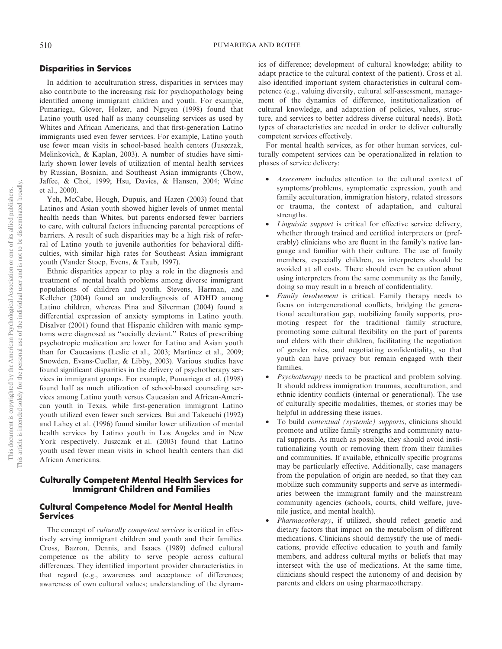#### Disparities in Services

In addition to acculturation stress, disparities in services may also contribute to the increasing risk for psychopathology being identified among immigrant children and youth. For example, Pumariega, Glover, Holzer, and Nguyen (1998) found that Latino youth used half as many counseling services as used by Whites and African Americans, and that first-generation Latino immigrants used even fewer services. For example, Latino youth use fewer mean visits in school-based health centers (Juszczak, Melinkovich, & Kaplan, 2003). A number of studies have similarly shown lower levels of utilization of mental health services by Russian, Bosnian, and Southeast Asian immigrants (Chow, Jaffee, & Choi, 1999; Hsu, Davies, & Hansen, 2004; Weine et al., 2000).

Yeh, McCabe, Hough, Dupuis, and Hazen (2003) found that Latinos and Asian youth showed higher levels of unmet mental health needs than Whites, but parents endorsed fewer barriers to care, with cultural factors influencing parental perceptions of barriers. A result of such disparities may be a high risk of referral of Latino youth to juvenile authorities for behavioral difficulties, with similar high rates for Southeast Asian immigrant youth (Vander Stoep, Evens, & Taub, 1997).

Ethnic disparities appear to play a role in the diagnosis and treatment of mental health problems among diverse immigrant populations of children and youth. Stevens, Harman, and Kelleher (2004) found an underdiagnosis of ADHD among Latino children, whereas Pina and Silverman (2004) found a differential expression of anxiety symptoms in Latino youth. Disalver (2001) found that Hispanic children with manic symptoms were diagnosed as ''socially deviant.'' Rates of prescribing psychotropic medication are lower for Latino and Asian youth than for Caucasians (Leslie et al., 2003; Martinez et al., 2009; Snowden, Evans-Cuellar, & Libby, 2003). Various studies have found significant disparities in the delivery of psychotherapy services in immigrant groups. For example, Pumariega et al. (1998) found half as much utilization of school-based counseling services among Latino youth versus Caucasian and African-American youth in Texas, while first-generation immigrant Latino youth utilized even fewer such services. Bui and Takeuchi (1992) and Lahey et al. (1996) found similar lower utilization of mental health services by Latino youth in Los Angeles and in New York respectively. Juszczak et al. (2003) found that Latino youth used fewer mean visits in school health centers than did African Americans.

#### Culturally Competent Mental Health Services for Immigrant Children and Families

## Cultural Competence Model for Mental Health **Services**

The concept of *culturally competent services* is critical in effectively serving immigrant children and youth and their families. Cross, Bazron, Dennis, and Isaacs (1989) defined cultural competence as the ability to serve people across cultural differences. They identified important provider characteristics in that regard (e.g., awareness and acceptance of differences; awareness of own cultural values; understanding of the dynamics of difference; development of cultural knowledge; ability to adapt practice to the cultural context of the patient). Cross et al. also identified important system characteristics in cultural competence (e.g., valuing diversity, cultural self-assessment, management of the dynamics of difference, institutionalization of cultural knowledge, and adaptation of policies, values, structure, and services to better address diverse cultural needs). Both types of characteristics are needed in order to deliver culturally competent services effectively.

For mental health services, as for other human services, culturally competent services can be operationalized in relation to phases of service delivery:

- Assessment includes attention to the cultural context of symptoms⁄ problems, symptomatic expression, youth and family acculturation, immigration history, related stressors or trauma, the context of adaptation, and cultural strengths.
- Linguistic support is critical for effective service delivery, whether through trained and certified interpreters or (preferably) clinicians who are fluent in the family's native language and familiar with their culture. The use of family members, especially children, as interpreters should be avoided at all costs. There should even be caution about using interpreters from the same community as the family, doing so may result in a breach of confidentiality.
- Family involvement is critical. Family therapy needs to focus on intergenerational conflicts, bridging the generational acculturation gap, mobilizing family supports, promoting respect for the traditional family structure, promoting some cultural flexibility on the part of parents and elders with their children, facilitating the negotiation of gender roles, and negotiating confidentiality, so that youth can have privacy but remain engaged with their families.
- Psychotherapy needs to be practical and problem solving. It should address immigration traumas, acculturation, and ethnic identity conflicts (internal or generational). The use of culturally specific modalities, themes, or stories may be helpful in addressing these issues.
- To build contextual (systemic) supports, clinicians should promote and utilize family strengths and community natural supports. As much as possible, they should avoid institutionalizing youth or removing them from their families and communities. If available, ethnically specific programs may be particularly effective. Additionally, case managers from the population of origin are needed, so that they can mobilize such community supports and serve as intermediaries between the immigrant family and the mainstream community agencies (schools, courts, child welfare, juvenile justice, and mental health).
- Pharmacotherapy, if utilized, should reflect genetic and dietary factors that impact on the metabolism of different medications. Clinicians should demystify the use of medications, provide effective education to youth and family members, and address cultural myths or beliefs that may intersect with the use of medications. At the same time, clinicians should respect the autonomy of and decision by parents and elders on using pharmacotherapy.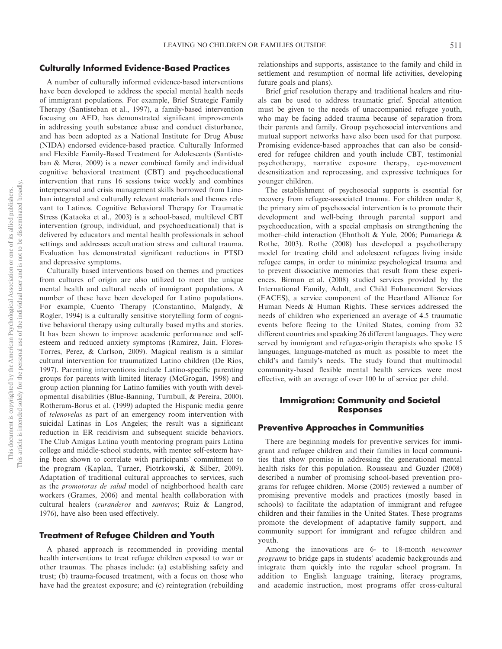## Culturally Informed Evidence-Based Practices

A number of culturally informed evidence-based interventions have been developed to address the special mental health needs of immigrant populations. For example, Brief Strategic Family Therapy (Santisteban et al., 1997), a family-based intervention focusing on AFD, has demonstrated significant improvements in addressing youth substance abuse and conduct disturbance, and has been adopted as a National Institute for Drug Abuse (NIDA) endorsed evidence-based practice. Culturally Informed and Flexible Family-Based Treatment for Adolescents (Santisteban & Mena, 2009) is a newer combined family and individual cognitive behavioral treatment (CBT) and psychoeducational intervention that runs 16 sessions twice weekly and combines interpersonal and crisis management skills borrowed from Linehan integrated and culturally relevant materials and themes relevant to Latinos. Cognitive Behavioral Therapy for Traumatic Stress (Kataoka et al., 2003) is a school-based, multilevel CBT intervention (group, individual, and psychoeducational) that is delivered by educators and mental health professionals in school settings and addresses acculturation stress and cultural trauma. Evaluation has demonstrated significant reductions in PTSD and depressive symptoms.

Culturally based interventions based on themes and practices from cultures of origin are also utilized to meet the unique mental health and cultural needs of immigrant populations. A number of these have been developed for Latino populations. For example, Cuento Therapy (Constantino, Malgady, & Rogler, 1994) is a culturally sensitive storytelling form of cognitive behavioral therapy using culturally based myths and stories. It has been shown to improve academic performance and selfesteem and reduced anxiety symptoms (Ramirez, Jain, Flores-Torres, Perez, & Carlson, 2009). Magical realism is a similar cultural intervention for traumatized Latino children (De Rios, 1997). Parenting interventions include Latino-specific parenting groups for parents with limited literacy (McGrogan, 1998) and group action planning for Latino families with youth with developmental disabilities (Blue-Banning, Turnbull, & Pereira, 2000). Rotheram-Borus et al. (1999) adapted the Hispanic media genre of telenovelas as part of an emergency room intervention with suicidal Latinas in Los Angeles; the result was a significant reduction in ER recidivism and subsequent suicide behaviors. The Club Amigas Latina youth mentoring program pairs Latina college and middle-school students, with mentee self-esteem having been shown to correlate with participants' commitment to the program (Kaplan, Turner, Piotrkowski, & Silber, 2009). Adaptation of traditional cultural approaches to services, such as the promotoras de salud model of neighborhood health care workers (Grames, 2006) and mental health collaboration with cultural healers (curanderos and santeros; Ruiz & Langrod, 1976), have also been used effectively.

#### Treatment of Refugee Children and Youth

A phased approach is recommended in providing mental health interventions to treat refugee children exposed to war or other traumas. The phases include: (a) establishing safety and trust; (b) trauma-focused treatment, with a focus on those who have had the greatest exposure; and (c) reintegration (rebuilding relationships and supports, assistance to the family and child in settlement and resumption of normal life activities, developing future goals and plans).

Brief grief resolution therapy and traditional healers and rituals can be used to address traumatic grief. Special attention must be given to the needs of unaccompanied refugee youth, who may be facing added trauma because of separation from their parents and family. Group psychosocial interventions and mutual support networks have also been used for that purpose. Promising evidence-based approaches that can also be considered for refugee children and youth include CBT, testimonial psychotherapy, narrative exposure therapy, eye-movement desensitization and reprocessing, and expressive techniques for younger children.

The establishment of psychosocial supports is essential for recovery from refugee-associated trauma. For children under 8, the primary aim of psychosocial intervention is to promote their development and well-being through parental support and psychoeducation, with a special emphasis on strengthening the mother–child interaction (Ehntholt & Yule, 2006; Pumariega & Rothe, 2003). Rothe (2008) has developed a psychotherapy model for treating child and adolescent refugees living inside refugee camps, in order to minimize psychological trauma and to prevent dissociative memories that result from these experiences. Birman et al. (2008) studied services provided by the International Family, Adult, and Child Enhancement Services (FACES), a service component of the Heartland Alliance for Human Needs & Human Rights. These services addressed the needs of children who experienced an average of 4.5 traumatic events before fleeing to the United States, coming from 32 different countries and speaking 26 different languages. They were served by immigrant and refugee-origin therapists who spoke 15 languages, language-matched as much as possible to meet the child's and family's needs. The study found that multimodal community-based flexible mental health services were most effective, with an average of over 100 hr of service per child.

# Immigration: Community and Societal Responses

# Preventive Approaches in Communities

There are beginning models for preventive services for immigrant and refugee children and their families in local communities that show promise in addressing the generational mental health risks for this population. Rousseau and Guzder (2008) described a number of promising school-based prevention programs for refugee children. Morse (2005) reviewed a number of promising preventive models and practices (mostly based in schools) to facilitate the adaptation of immigrant and refugee children and their families in the United States. These programs promote the development of adaptative family support, and community support for immigrant and refugee children and youth.

Among the innovations are 6- to 18-month newcomer programs to bridge gaps in students' academic backgrounds and integrate them quickly into the regular school program. In addition to English language training, literacy programs, and academic instruction, most programs offer cross-cultural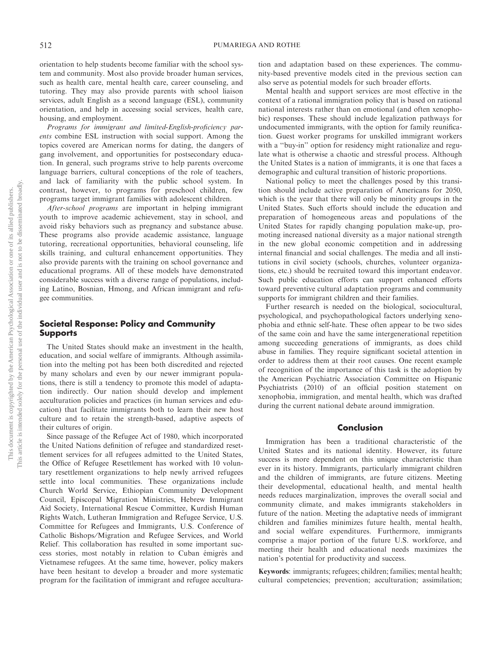orientation to help students become familiar with the school system and community. Most also provide broader human services, such as health care, mental health care, career counseling, and tutoring. They may also provide parents with school liaison services, adult English as a second language (ESL), community orientation, and help in accessing social services, health care, housing, and employment.

Programs for immigrant and limited-English-proficiency parents combine ESL instruction with social support. Among the topics covered are American norms for dating, the dangers of gang involvement, and opportunities for postsecondary education. In general, such programs strive to help parents overcome language barriers, cultural conceptions of the role of teachers, and lack of familiarity with the public school system. In contrast, however, to programs for preschool children, few programs target immigrant families with adolescent children.

After-school programs are important in helping immigrant youth to improve academic achievement, stay in school, and avoid risky behaviors such as pregnancy and substance abuse. These programs also provide academic assistance, language tutoring, recreational opportunities, behavioral counseling, life skills training, and cultural enhancement opportunities. They also provide parents with the training on school governance and educational programs. All of these models have demonstrated considerable success with a diverse range of populations, including Latino, Bosnian, Hmong, and African immigrant and refugee communities.

# Societal Response: Policy and Community Supports

The United States should make an investment in the health, education, and social welfare of immigrants. Although assimilation into the melting pot has been both discredited and rejected by many scholars and even by our newer immigrant populations, there is still a tendency to promote this model of adaptation indirectly. Our nation should develop and implement acculturation policies and practices (in human services and education) that facilitate immigrants both to learn their new host culture and to retain the strength-based, adaptive aspects of their cultures of origin.

Since passage of the Refugee Act of 1980, which incorporated the United Nations definition of refugee and standardized resettlement services for all refugees admitted to the United States, the Office of Refugee Resettlement has worked with 10 voluntary resettlement organizations to help newly arrived refugees settle into local communities. These organizations include Church World Service, Ethiopian Community Development Council, Episcopal Migration Ministries, Hebrew Immigrant Aid Society, International Rescue Committee, Kurdish Human Rights Watch, Lutheran Immigration and Refugee Service, U.S. Committee for Refugees and Immigrants, U.S. Conference of Catholic Bishops⁄Migration and Refugee Services, and World Relief. This collaboration has resulted in some important success stories, most notably in relation to Cuban émigrés and Vietnamese refugees. At the same time, however, policy makers have been hesitant to develop a broader and more systematic program for the facilitation of immigrant and refugee acculturation and adaptation based on these experiences. The community-based preventive models cited in the previous section can also serve as potential models for such broader efforts.

Mental health and support services are most effective in the context of a rational immigration policy that is based on rational national interests rather than on emotional (and often xenophobic) responses. These should include legalization pathways for undocumented immigrants, with the option for family reunification. Guest worker programs for unskilled immigrant workers with a "buy-in" option for residency might rationalize and regulate what is otherwise a chaotic and stressful process. Although the United States is a nation of immigrants, it is one that faces a demographic and cultural transition of historic proportions.

National policy to meet the challenges posed by this transition should include active preparation of Americans for 2050, which is the year that there will only be minority groups in the United States. Such efforts should include the education and preparation of homogeneous areas and populations of the United States for rapidly changing population make-up, promoting increased national diversity as a major national strength in the new global economic competition and in addressing internal financial and social challenges. The media and all institutions in civil society (schools, churches, volunteer organizations, etc.) should be recruited toward this important endeavor. Such public education efforts can support enhanced efforts toward preventive cultural adaptation programs and community supports for immigrant children and their families.

Further research is needed on the biological, sociocultural, psychological, and psychopathological factors underlying xenophobia and ethnic self-hate. These often appear to be two sides of the same coin and have the same intergenerational repetition among succeeding generations of immigrants, as does child abuse in families. They require significant societal attention in order to address them at their root causes. One recent example of recognition of the importance of this task is the adoption by the American Psychiatric Association Committee on Hispanic Psychiatrists (2010) of an official position statement on xenophobia, immigration, and mental health, which was drafted during the current national debate around immigration.

## Conclusion

Immigration has been a traditional characteristic of the United States and its national identity. However, its future success is more dependent on this unique characteristic than ever in its history. Immigrants, particularly immigrant children and the children of immigrants, are future citizens. Meeting their developmental, educational health, and mental health needs reduces marginalization, improves the overall social and community climate, and makes immigrants stakeholders in future of the nation. Meeting the adaptative needs of immigrant children and families minimizes future health, mental health, and social welfare expenditures. Furthermore, immigrants comprise a major portion of the future U.S. workforce, and meeting their health and educational needs maximizes the nation's potential for productivity and success.

Keywords: immigrants; refugees; children; families; mental health; cultural competencies; prevention; acculturation; assimilation;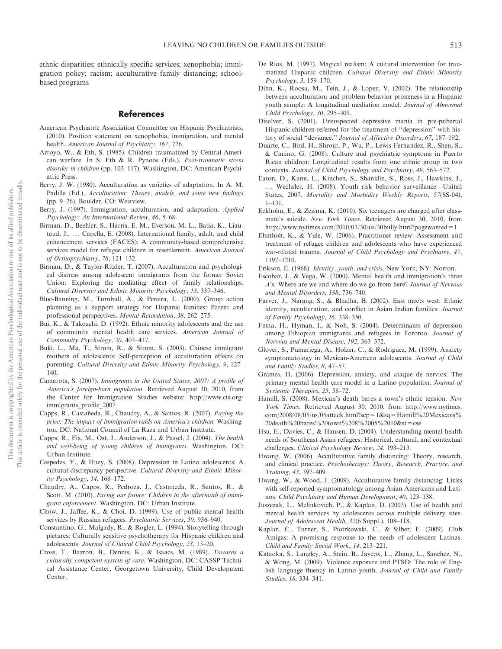ethnic disparities; ethnically specific services; xenophobia; immigration policy; racism; acculturative family distancing; schoolbased programs

#### References

- American Psychiatric Association Committee on Hispanic Psychiatrists. (2010). Position statement on xenophobia, immigration, and mental health. American Journal of Psychiatry, 167, 726.
- Arroyo, W., & Eth, S. (1985). Children traumatized by Central American warfare. In S. Eth & R. Pynoos (Eds.), Post-traumatic stress disorder in children (pp. 103–117). Washington, DC: American Psychiatric Press.
- Berry, J. W. (1980). Acculturation as varieties of adaptation. In A. M. Padilla (Ed.), Acculturation: Theory, models, and some new findings (pp. 9–26). Boulder, CO: Westview.
- Berry, J. (1997). Immigration, acculturation, and adaptation. Applied Psychology: An International Review, 46, 5–68.
- Birman, D., Beehler, S., Harris, E. M., Everson, M. L., Batia, K., Liautaud, J., . . . Capella, E. (2008). International family, adult, and child enhancement services (FACES): A community-based comprehensive services model for refugee children in resettlement. American Journal of Orthopsychiatry, 78, 121–132.
- Birman, D., & Taylor-Ritzler, T. (2007). Acculturation and psychological distress among adolescent immigrants from the former Soviet Union: Exploring the mediating effect of family relationships. Cultural Diversity and Ethnic Minority Psychology, 13, 337–346.
- Blue-Banning, M., Turnbull, A., & Pereira, L. (2000). Group action planning as a support strategy for Hispanic families: Parent and professional perspectives. Mental Retardation, 38, 262–275.
- Bui, K., & Takeuchi, D. (1992). Ethnic minority adolescents and the use of community mental health care services. American Journal of Community Psychology, 20, 403–417.
- Buki, L., Ma, T., Strom, R., & Strom, S. (2003). Chinese immigrant mothers of adolescents: Self-perception of acculturation effects on parenting. Cultural Diversity and Ethnic Minority Psychology, 9, 127– 140.
- Camarota, S. (2007). Immigrants in the United States, 2007: A profile of America's foreign-born population. Retrieved August 30, 2010, from the Center for Immigration Studies website: http://www.cis.org/ immigrants\_profile\_2007
- Capps, R., Castañeda, R., Chaudry, A., & Santos, R. (2007). Paying the price: The impact of immigration raids on America's children. Washington, DC: National Council of La Raza and Urban Institute.
- Capps, R., Fix, M., Ost, J., Anderson, J., & Passel, J. (2004). The health and well-being of young children of immigrants. Washington, DC: Urban Institute.
- Cespedes, Y., & Huey, S. (2008). Depression in Latino adolescents: A cultural discrepancy perspective. Cultural Diversity and Ethnic Minority Psychology, 14, 168–172.
- Chaudry, A., Capps, R., Pedroza, J., Castaneda, R., Santos, R., & Scott, M. (2010). Facing our future: Children in the aftermath of immigrant enforcement. Washington, DC: Urban Institute.
- Chow, J., Jaffee, K., & Choi, D. (1999). Use of public mental health services by Russian refugees. Psychiatric Services, 50, 936-940.
- Constantino, G., Malgady, R., & Rogler, L. (1994). Storytelling through pictures: Culturally sensitive psychotherapy for Hispanic children and adolescents. Journal of Clinical Child Psychology, 23, 13–20.
- Cross, T., Bazron, B., Dennis, K., & Isaacs, M. (1989). Towards a culturally competent system of care. Washington, DC: CASSP Technical Assistance Center, Georgetown University, Child Development Center.
- De Rios, M. (1997). Magical realism: A cultural intervention for traumatized Hispanic children. Cultural Diversity and Ethnic Minority Psychology, 3, 159–170.
- Dihn, K., Roosa, M., Tein, J., & Lopez, V. (2002). The relationship between acculturation and problem behavior proneness in a Hispanic youth sample: A longitudinal mediation model. Journal of Abnormal Child Psychology, 30, 295–309.
- Disalver, S. (2001). Unsuspected depressive mania in pre-pubertal Hispanic children referred for the treatment of ''depression'' with history of social ''deviance.'' Journal of Affective Disorders, 67, 187–192.
- Duarte, C., Bird, H., Shrout, P., Wu, P., Lewis-Fernandez, R., Shen, S., & Canino, G. (2008). Culture and psychiatric symptoms in Puerto Rican children: Longitudinal results from one ethnic group in two contexts. Journal of Child Psychology and Psychiatry, 49, 563–572.
- Eaton, D., Kann, L., Kinchen, S., Shanklin, S., Ross, J., Hawkins, J., ... Wechsler, H. (2008). Youth risk behavior surveillance—United States, 2007. Mortality and Morbidity Weekly Reports, 57(SS-04), 1–131.
- Eckholm, E., & Zezima, K. (2010). Six teenagers are charged after classmate's suicide. New York Times. Retrieved August 30, 2010, from http://www.nytimes.com/2010/03/30/us/30bully.html?pagewanted=1
- Ehntholt, K., & Yule, W. (2006). Practitioner review: Assessment and treatment of refugee children and adolescents who have experienced war-related trauma. Journal of Child Psychology and Psychiatry, 47, 1197–1210.
- Erikson, E. (1968). Identity, youth, and crisis. New York, NY: Norton.
- Escobar, J., & Vega, W. (2000). Mental health and immigration's three A's: Where are we and where do we go from here? Journal of Nervous and Mental Disorders, 188, 736–740.
- Farver, J., Narang, S., & Bhadha, B. (2002). East meets west: Ethnic identity, acculturation, and conflict in Asian Indian families. Journal of Family Psychology, 16, 338–350.
- Fenta, H., Hyman, I., & Noh, S. (2004). Determinants of depression among Ethiopian immigrants and refugees in Toronto. Journal of Nervous and Mental Disease, 192, 363–372.
- Glover, S., Pumariega, A., Holzer, C., & Rodriguez, M. (1999). Anxiety symptomatology in Mexican-American adolescents. Journal of Child and Family Studies, 8, 47–57.
- Grames, H. (2006). Depression, anxiety, and ataque de nervios: The primary mental health care model in a Latino population. Journal of Systemic Therapies, 25, 58–72.
- Hamill, S. (2008). Mexican's death bares a town's ethnic tension. New York Times. Retrieved August 30, 2010, from http://www.nytimes. com/2008/08/05/us/05attack.html?scp=1&sq=Hamill%20Mexicans% 20death%20bares%20town%208%2005%2010&st=cse
- Hsu, E., Davies, C., & Hansen, D. (2004). Understanding mental health needs of Southeast Asian refugees: Historical, cultural, and contextual challenges. Clinical Psychology Review, 24, 193–213.
- Hwang, W. (2006). Acculturative family distancing: Theory, research, and clinical practice. Psychotherapy: Theory, Research, Practice, and Training, 43, 397–409.
- Hwang, W., & Wood, J. (2009). Acculturative family distancing: Links with self-reported symptomatology among Asian Americans and Latinos. Child Psychiatry and Human Development, 40, 123–138.
- Juszczak, L., Melinkovich, P., & Kaplan, D. (2003). Use of health and mental health services by adolescents across multiple delivery sites. Journal of Adolescent Health, 32(6 Suppl.), 108–118.
- Kaplan, C., Turner, S., Piotrkowski, C., & Silber, E. (2009). Club Amigas: A promising response to the needs of adolescent Latinas. Child and Family Social Work, 14, 213–221.
- Kataoka, S., Langley, A., Stein, B., Jaycox, L., Zhang, L., Sanchez, N., & Wong, M. (2009). Violence exposure and PTSD: The role of English language fluency in Latino youth. Journal of Child and Family Studies, 18, 334–341.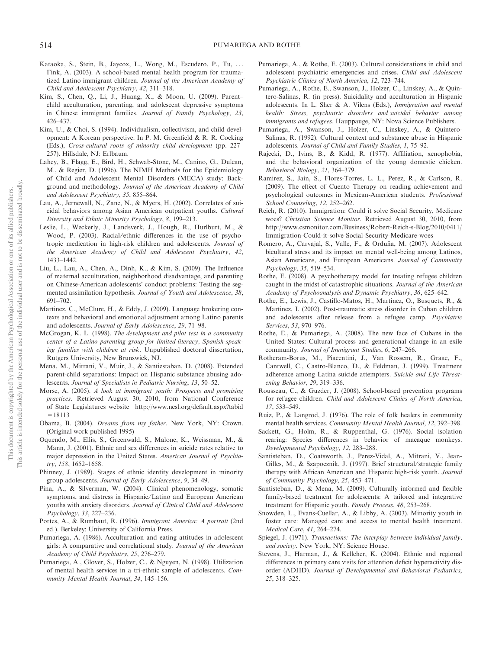- 514 PUMARIEGA AND ROTHE
- Kataoka, S., Stein, B., Jaycox, L., Wong, M., Escudero, P., Tu, ... Fink, A. (2003). A school-based mental health program for traumatized Latino immigrant children. Journal of the American Academy of Child and Adolescent Psychiatry, 42, 311–318.
- Kim, S., Chen, Q., Li, J., Huang, X., & Moon, U. (2009). Parent– child acculturation, parenting, and adolescent depressive symptoms in Chinese immigrant families. Journal of Family Psychology, 23, 426–437.
- Kim, U., & Choi, S. (1994). Individualism, collectivism, and child development: A Korean perspective. In P. M. Greenfield & R. R. Cocking (Eds.), Cross-cultural roots of minority child development (pp. 227– 257). Hillsdale, NJ: Erlbaum.
- Lahey, B., Flagg, E., Bird, H., Schwab-Stone, M., Canino, G., Dulcan, M., & Regier, D. (1996). The NIMH Methods for the Epidemiology of Child and Adolescent Mental Disorders (MECA) study: Background and methodology. Journal of the American Academy of Child and Adolescent Psychiatry, 35, 855–864.
- Lau, A., Jernewall, N., Zane, N., & Myers, H. (2002). Correlates of suicidal behaviors among Asian American outpatient youths. Cultural Diversity and Ethnic Minority Psychology, 8, 199–213.
- Leslie, L., Weckerly, J., Landsverk, J., Hough, R., Hurlburt, M., & Wood, P. (2003). Racial/ethnic differences in the use of psychotropic medication in high-risk children and adolescents. Journal of the American Academy of Child and Adolescent Psychiatry, 42, 1433–1442.
- Liu, L., Lau, A., Chen, A., Dinh, K., & Kim, S. (2009). The Influence of maternal acculturation, neighborhood disadvantage, and parenting on Chinese-American adolescents' conduct problems: Testing the segmented assimilation hypothesis. Journal of Youth and Adolescence, 38, 691–702.
- Martinez, C., McClure, H., & Eddy, J. (2009). Language brokering contexts and behavioral and emotional adjustment among Latino parents and adolescents. Journal of Early Adolescence, 29, 71–98.
- McGrogan, K. L. (1998). The development and pilot test in a community center of a Latino parenting group for limited-literacy, Spanish-speaking families with children at risk. Unpublished doctoral dissertation, Rutgers University, New Brunswick, NJ.
- Mena, M., Mitrani, V., Muir, J., & Santiestaban, D. (2008). Extended parent-child separations: Impact on Hispanic substance abusing adolescents. Journal of Specialists in Pediatric Nursing, 13, 50–52.
- Morse, A. (2005). A look at immigrant youth: Prospects and promising practices. Retrieved August 30, 2010, from National Conference of State Legislatures website http://www.ncsl.org/default.aspx?tabid  $=18113$
- Obama, B. (2004). Dreams from my father. New York, NY: Crown. (Original work published 1995)
- Oquendo, M., Ellis, S., Greenwald, S., Malone, K., Weissman, M., & Mann, J. (2001). Ethnic and sex differences in suicide rates relative to major depression in the United States. American Journal of Psychiatry, 158, 1652–1658.
- Phinney, J. (1989). Stages of ethnic identity development in minority group adolescents. Journal of Early Adolescence, 9, 34–49.
- Pina, A., & Silverman, W. (2004). Clinical phenomenology, somatic symptoms, and distress in Hispanic/Latino and European American youths with anxiety disorders. Journal of Clinical Child and Adolescent Psychology, 33, 227–236.
- Portes, A., & Rumbaut, R. (1996). Immigrant America: A portrait (2nd ed.). Berkeley: University of California Press.
- Pumariega, A. (1986). Acculturation and eating attitudes in adolescent girls: A comparative and correlational study. Journal of the American Academy of Child Psychiatry, 25, 276–279.
- Pumariega, A., Glover, S., Holzer, C., & Nguyen, N. (1998). Utilization of mental health services in a tri-ethnic sample of adolescents. Community Mental Health Journal, 34, 145–156.
- Pumariega, A., & Rothe, E. (2003). Cultural considerations in child and adolescent psychiatric emergencies and crises. Child and Adolescent Psychiatric Clinics of North America, 12, 723–744.
- Pumariega, A., Rothe, E., Swanson, J., Holzer, C., Linskey, A., & Quintero-Salinas, R. (in press). Suicidality and acculturation in Hispanic adolescents. In L. Sher & A. Vilens (Eds.), Immigration and mental health: Stress, psychiatric disorders and suicidal behavior among immigrants and refugees. Hauppauge, NY: Nova Science Publishers.
- Pumariega, A., Swanson, J., Holzer, C., Linskey, A., & Quintero-Salinas, R. (1992). Cultural context and substance abuse in Hispanic adolescents. Journal of Child and Family Studies, 1, 75–92.
- Rajecki, D., Ivins, B., & Kidd, R. (1977). Affiliation, xenophobia, and the behavioral organization of the young domestic chicken. Behavioral Biology, 21, 364–379.
- Ramirez, S., Jain, S., Flores-Torres, L. L., Perez, R., & Carlson, R. (2009). The effect of Cuento Therapy on reading achievement and psychological outcomes in Mexican-American students. Professional School Counseling, 12, 252–262.
- Reich, R. (2010). Immigration: Could it solve Social Security, Medicare woes? Christian Science Monitor. Retrieved August 30, 2010, from http://www.csmonitor.com/Business/Robert-Reich-s-Blog/2010/0411/ Immigration-Could-it-solve-Social-Security-Medicare-woes
- Romero, A., Carvajal, S., Valle, F., & Orduña, M. (2007). Adolescent bicultural stress and its impact on mental well-being among Latinos, Asian Americans, and European Americans. Journal of Community Psychology, 35, 519–534.
- Rothe, E. (2008). A psychotherapy model for treating refugee children caught in the midst of catastrophic situations. Journal of the American Academy of Psychoanalysis and Dynamic Psychiatry, 36, 625–642.
- Rothe, E., Lewis, J., Castillo-Matos, H., Martinez, O., Busquets, R., & Martinez, I. (2002). Post-traumatic stress disorder in Cuban children and adolescents after release from a refugee camp. Psychiatric Services, 53, 970–976.
- Rothe, E., & Pumariega, A. (2008). The new face of Cubans in the United States: Cultural process and generational change in an exile community. Journal of Immigrant Studies, 6, 247–266.
- Rotheram-Borus, M., Piacentini, J., Van Rossem, R., Graae, F., Cantwell, C., Castro-Blanco, D., & Feldman, J. (1999). Treatment adherence among Latina suicide attempters. Suicide and Life Threatening Behavior, 29, 319–336.
- Rousseau, C., & Guzder, J. (2008). School-based prevention programs for refugee children. Child and Adolescent Clinics of North America, 17, 533–549.
- Ruiz, P., & Langrod, J. (1976). The role of folk healers in community mental health services. Community Mental Health Journal, 12, 392–398.
- Sackett, G., Holm, R., & Ruppenthal, G. (1976). Social isolation rearing: Species differences in behavior of macaque monkeys. Developmental Psychology, 12, 283–288.
- Santisteban, D., Coatsworth, J., Perez-Vidal, A., Mitrani, V., Jean-Gilles, M., & Szapocznik, J. (1997). Brief structural/strategic family therapy with African American and Hispanic high-risk youth. Journal of Community Psychology, 25, 453–471.
- Santisteban, D., & Mena, M. (2009). Culturally informed and flexible family-based treatment for adolescents: A tailored and integrative treatment for Hispanic youth. Family Process, 48, 253–268.
- Snowden, L., Evans-Cuellar, A., & Libby, A. (2003). Minority youth in foster care: Managed care and access to mental health treatment. Medical Care, 41, 264–274.
- Spiegel, J. (1971). Transactions: The interplay between individual family, and society. New York, NY: Science House.
- Stevens, J., Harman, J., & Kelleher, K. (2004). Ethnic and regional differences in primary care visits for attention deficit hyperactivity disorder (ADHD). Journal of Developmental and Behavioral Pediatrics, 25, 318–325.